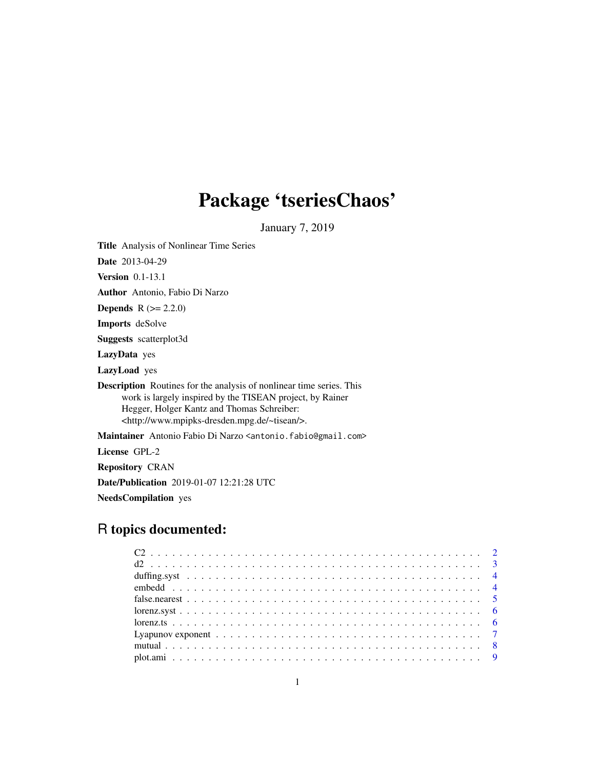# Package 'tseriesChaos'

January 7, 2019

Title Analysis of Nonlinear Time Series

Date 2013-04-29

Version 0.1-13.1

Author Antonio, Fabio Di Narzo

**Depends**  $R (= 2.2.0)$ 

Imports deSolve

Suggests scatterplot3d

LazyData yes

LazyLoad yes

Description Routines for the analysis of nonlinear time series. This work is largely inspired by the TISEAN project, by Rainer Hegger, Holger Kantz and Thomas Schreiber: <http://www.mpipks-dresden.mpg.de/~tisean/>.

Maintainer Antonio Fabio Di Narzo <antonio.fabio@gmail.com>

License GPL-2

Repository CRAN

Date/Publication 2019-01-07 12:21:28 UTC

NeedsCompilation yes

# R topics documented: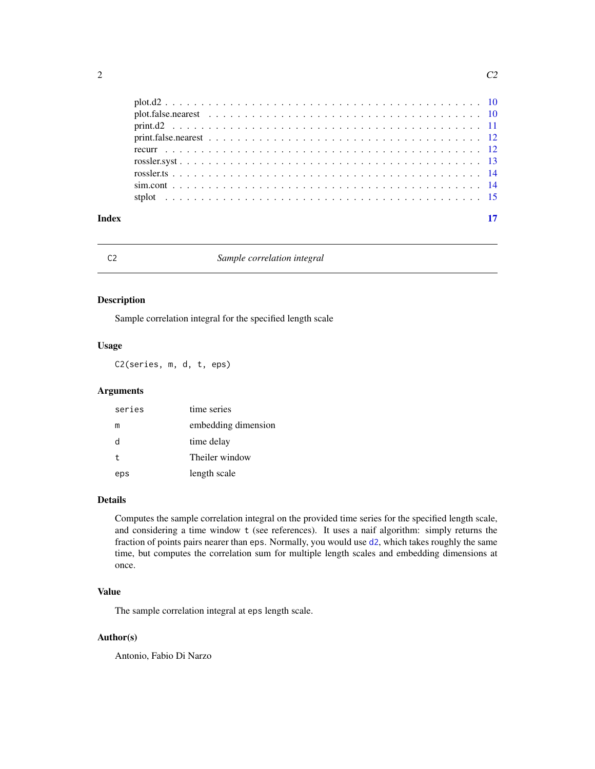<span id="page-1-0"></span>

| Index |  |
|-------|--|
|       |  |
|       |  |
|       |  |
|       |  |
|       |  |
|       |  |
|       |  |
|       |  |
|       |  |

# C2 *Sample correlation integral*

# Description

Sample correlation integral for the specified length scale

#### Usage

C2(series, m, d, t, eps)

# Arguments

| series | time series         |
|--------|---------------------|
| m      | embedding dimension |
| d      | time delay          |
| t      | Theiler window      |
| eps    | length scale        |

# Details

Computes the sample correlation integral on the provided time series for the specified length scale, and considering a time window t (see references). It uses a naif algorithm: simply returns the fraction of points pairs nearer than eps. Normally, you would use [d2](#page-2-1), which takes roughly the same time, but computes the correlation sum for multiple length scales and embedding dimensions at once.

# Value

The sample correlation integral at eps length scale.

#### Author(s)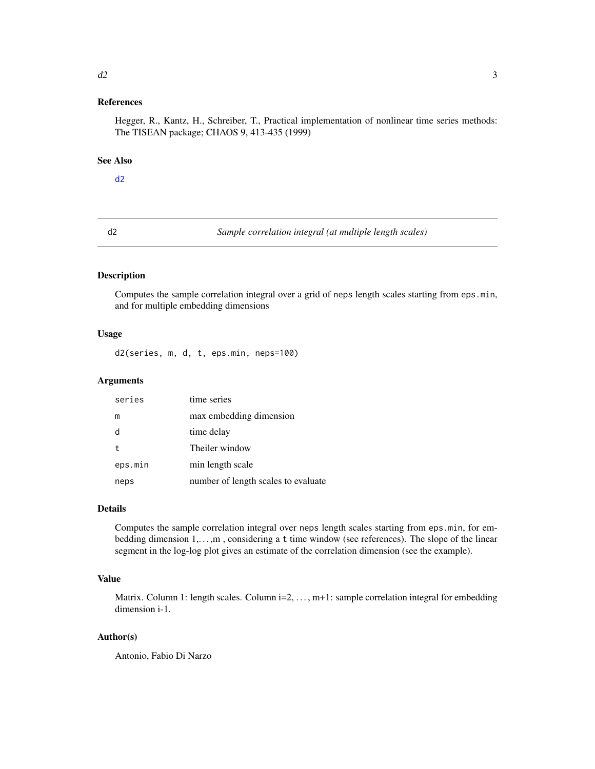#### <span id="page-2-0"></span> $d2 \t3$

#### References

Hegger, R., Kantz, H., Schreiber, T., Practical implementation of nonlinear time series methods: The TISEAN package; CHAOS 9, 413-435 (1999)

# See Also

# [d2](#page-2-1)

<span id="page-2-1"></span>d2 *Sample correlation integral (at multiple length scales)*

# Description

Computes the sample correlation integral over a grid of neps length scales starting from eps.min, and for multiple embedding dimensions

# Usage

d2(series, m, d, t, eps.min, neps=100)

# Arguments

| series      | time series                         |
|-------------|-------------------------------------|
| m           | max embedding dimension             |
| d           | time delay                          |
| $\mathbf t$ | Theiler window                      |
| eps.min     | min length scale                    |
| neps        | number of length scales to evaluate |

# Details

Computes the sample correlation integral over neps length scales starting from eps.min, for embedding dimension 1,...,m, considering a t time window (see references). The slope of the linear segment in the log-log plot gives an estimate of the correlation dimension (see the example).

# Value

Matrix. Column 1: length scales. Column i=2, ..., m+1: sample correlation integral for embedding dimension i-1.

# Author(s)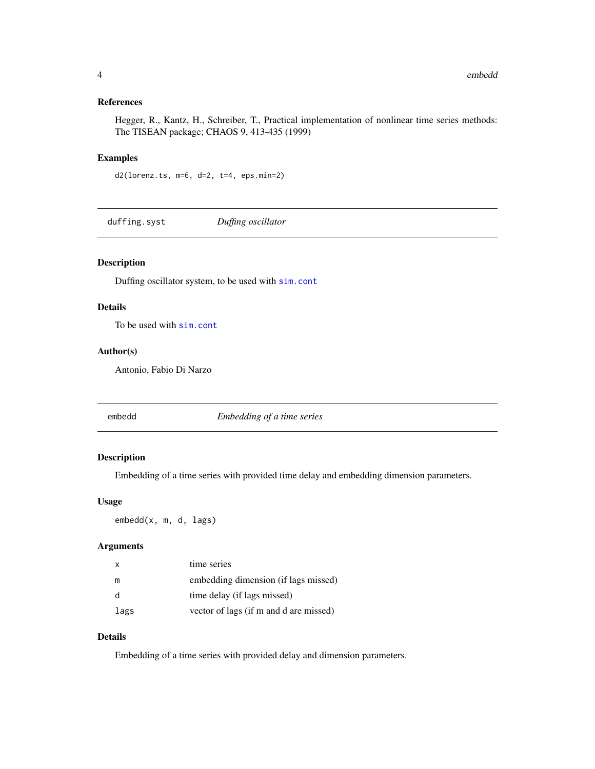# <span id="page-3-0"></span>References

Hegger, R., Kantz, H., Schreiber, T., Practical implementation of nonlinear time series methods: The TISEAN package; CHAOS 9, 413-435 (1999)

# Examples

d2(lorenz.ts, m=6, d=2, t=4, eps.min=2)

<span id="page-3-2"></span>duffing.syst *Duffing oscillator*

# Description

Duffing oscillator system, to be used with [sim.cont](#page-13-1)

# Details

To be used with [sim.cont](#page-13-1)

# Author(s)

Antonio, Fabio Di Narzo

<span id="page-3-1"></span>

embedd *Embedding of a time series*

# Description

Embedding of a time series with provided time delay and embedding dimension parameters.

#### Usage

embedd(x, m, d, lags)

#### Arguments

| X    | time series                            |
|------|----------------------------------------|
| m    | embedding dimension (if lags missed)   |
| - d  | time delay (if lags missed)            |
| lags | vector of lags (if m and d are missed) |

# Details

Embedding of a time series with provided delay and dimension parameters.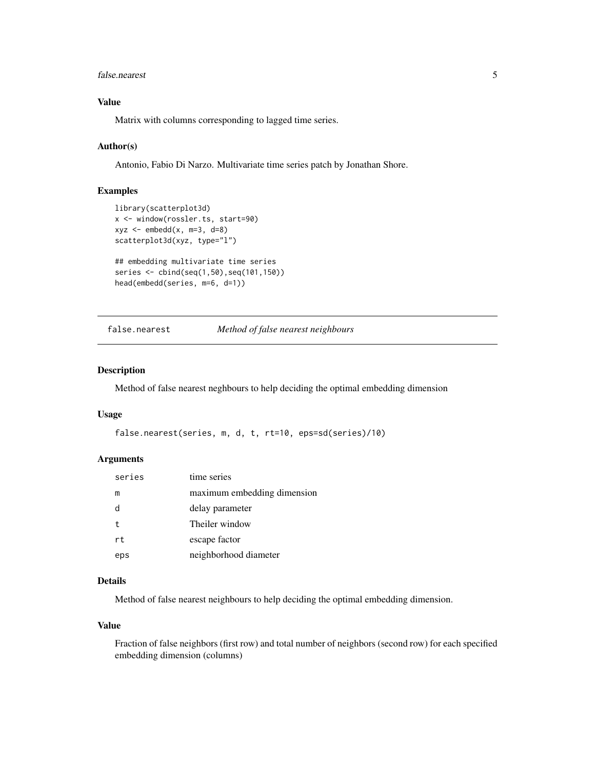#### <span id="page-4-0"></span>false.nearest 5

# Value

Matrix with columns corresponding to lagged time series.

#### Author(s)

Antonio, Fabio Di Narzo. Multivariate time series patch by Jonathan Shore.

# Examples

```
library(scatterplot3d)
x <- window(rossler.ts, start=90)
xyz <- embedd(x, m=3, d=8)
scatterplot3d(xyz, type="l")
## embedding multivariate time series
series <- cbind(seq(1,50),seq(101,150))
head(embedd(series, m=6, d=1))
```
<span id="page-4-1"></span>false.nearest *Method of false nearest neighbours*

#### Description

Method of false nearest neghbours to help deciding the optimal embedding dimension

#### Usage

```
false.nearest(series, m, d, t, rt=10, eps=sd(series)/10)
```
#### Arguments

| series | time series                 |
|--------|-----------------------------|
| m      | maximum embedding dimension |
| d      | delay parameter             |
| t      | Theiler window              |
| rt     | escape factor               |
| eps    | neighborhood diameter       |
|        |                             |

# Details

Method of false nearest neighbours to help deciding the optimal embedding dimension.

#### Value

Fraction of false neighbors (first row) and total number of neighbors (second row) for each specified embedding dimension (columns)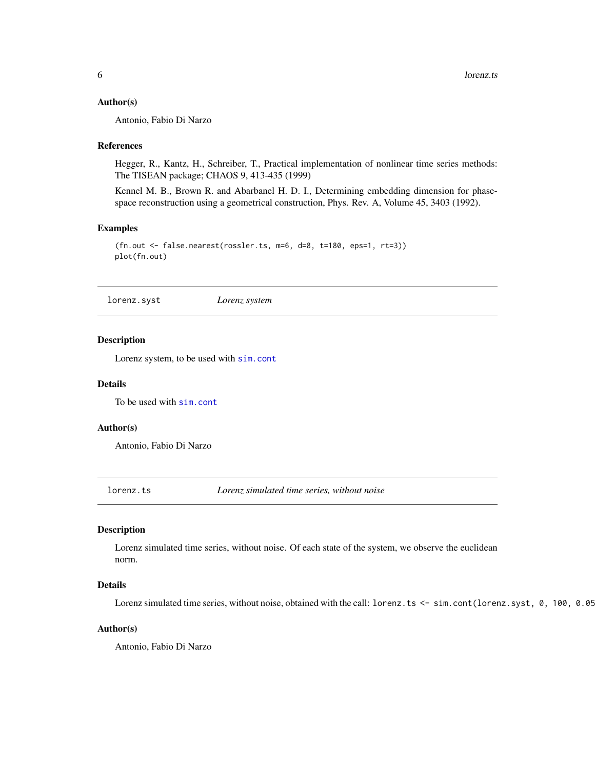#### <span id="page-5-0"></span>Author(s)

Antonio, Fabio Di Narzo

#### References

Hegger, R., Kantz, H., Schreiber, T., Practical implementation of nonlinear time series methods: The TISEAN package; CHAOS 9, 413-435 (1999)

Kennel M. B., Brown R. and Abarbanel H. D. I., Determining embedding dimension for phasespace reconstruction using a geometrical construction, Phys. Rev. A, Volume 45, 3403 (1992).

#### Examples

```
(fn.out <- false.nearest(rossler.ts, m=6, d=8, t=180, eps=1, rt=3))
plot(fn.out)
```
<span id="page-5-1"></span>lorenz.syst *Lorenz system*

#### Description

Lorenz system, to be used with [sim.cont](#page-13-1)

#### Details

To be used with [sim.cont](#page-13-1)

#### Author(s)

Antonio, Fabio Di Narzo

lorenz.ts *Lorenz simulated time series, without noise*

# Description

Lorenz simulated time series, without noise. Of each state of the system, we observe the euclidean norm.

# Details

Lorenz simulated time series, without noise, obtained with the call: lorenz.ts <- sim.cont(lorenz.syst, 0, 100, 0.05

#### Author(s)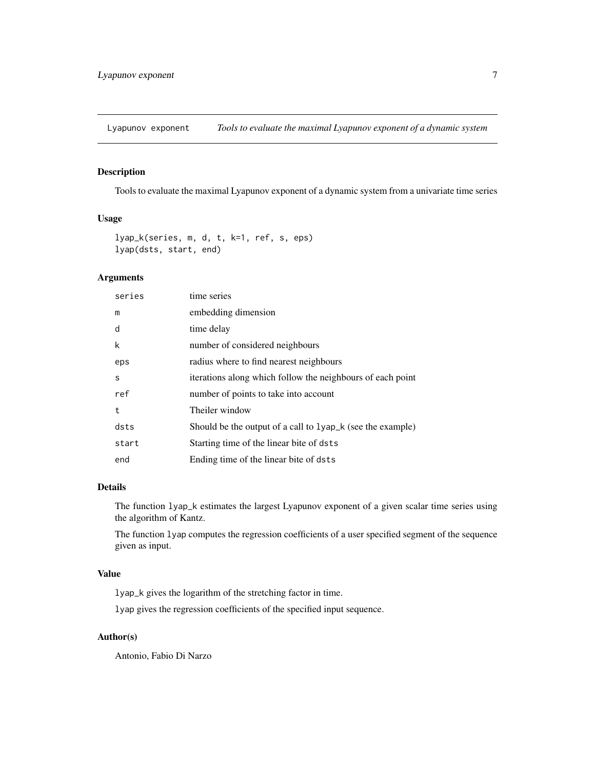<span id="page-6-0"></span>Lyapunov exponent *Tools to evaluate the maximal Lyapunov exponent of a dynamic system*

## <span id="page-6-1"></span>Description

Tools to evaluate the maximal Lyapunov exponent of a dynamic system from a univariate time series

# Usage

```
lyap_k(series, m, d, t, k=1, ref, s, eps)
lyap(dsts, start, end)
```
# Arguments

| series | time series                                                           |
|--------|-----------------------------------------------------------------------|
| m      | embedding dimension                                                   |
| d      | time delay                                                            |
| k      | number of considered neighbours                                       |
| eps    | radius where to find nearest neighbours                               |
| S      | iterations along which follow the neighbours of each point            |
| ref    | number of points to take into account                                 |
| t      | Theiler window                                                        |
| dsts   | Should be the output of a call to 1yap <sub>k</sub> (see the example) |
| start  | Starting time of the linear bite of dsts                              |
| end    | Ending time of the linear bite of dsts                                |

# Details

The function lyap\_k estimates the largest Lyapunov exponent of a given scalar time series using the algorithm of Kantz.

The function lyap computes the regression coefficients of a user specified segment of the sequence given as input.

# Value

lyap\_k gives the logarithm of the stretching factor in time.

lyap gives the regression coefficients of the specified input sequence.

# Author(s)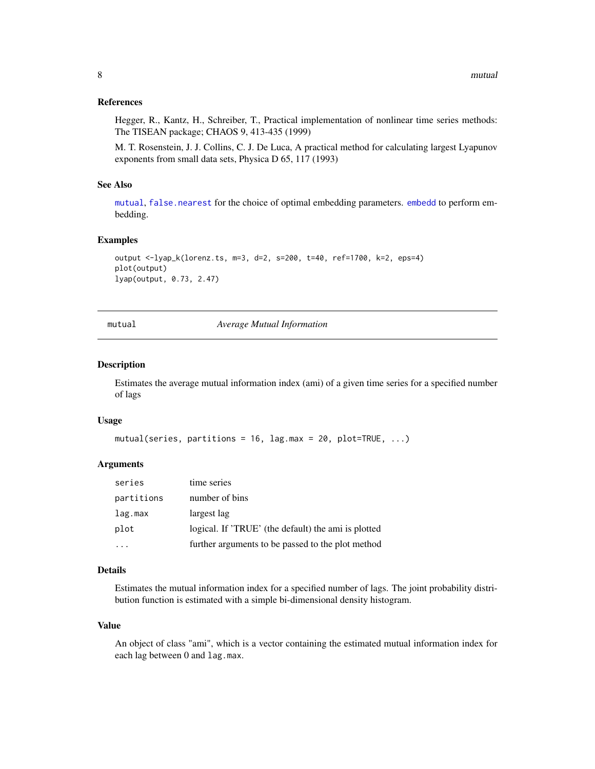#### <span id="page-7-0"></span>References

Hegger, R., Kantz, H., Schreiber, T., Practical implementation of nonlinear time series methods: The TISEAN package; CHAOS 9, 413-435 (1999)

M. T. Rosenstein, J. J. Collins, C. J. De Luca, A practical method for calculating largest Lyapunov exponents from small data sets, Physica D 65, 117 (1993)

#### See Also

[mutual](#page-7-1), [false.nearest](#page-4-1) for the choice of optimal embedding parameters. [embedd](#page-3-1) to perform embedding.

#### Examples

```
output <-lyap_k(lorenz.ts, m=3, d=2, s=200, t=40, ref=1700, k=2, eps=4)
plot(output)
lyap(output, 0.73, 2.47)
```
mutual *Average Mutual Information*

#### Description

Estimates the average mutual information index (ami) of a given time series for a specified number of lags

#### Usage

```
mutual(series, partitions = 16, lag.max = 20, plot=True, ...)
```
# Arguments

| series     | time series                                         |
|------------|-----------------------------------------------------|
| partitions | number of bins                                      |
| lag.max    | largest lag                                         |
| plot       | logical. If 'TRUE' (the default) the ami is plotted |
|            | further arguments to be passed to the plot method   |

#### Details

Estimates the mutual information index for a specified number of lags. The joint probability distribution function is estimated with a simple bi-dimensional density histogram.

#### Value

An object of class "ami", which is a vector containing the estimated mutual information index for each lag between 0 and lag.max.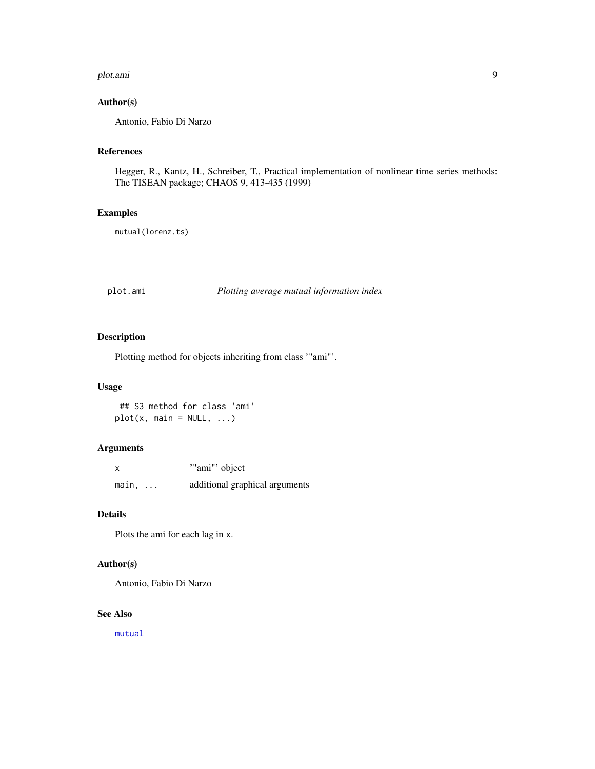#### <span id="page-8-0"></span>plot.ami 9

# Author(s)

Antonio, Fabio Di Narzo

# References

Hegger, R., Kantz, H., Schreiber, T., Practical implementation of nonlinear time series methods: The TISEAN package; CHAOS 9, 413-435 (1999)

# Examples

mutual(lorenz.ts)

plot.ami *Plotting average mutual information index*

# Description

Plotting method for objects inheriting from class '"ami"'.

#### Usage

## S3 method for class 'ami'  $plot(x, main = NULL, ...)$ 

# Arguments

| X              | "ami" object                   |
|----------------|--------------------------------|
| $main, \ldots$ | additional graphical arguments |

#### Details

Plots the ami for each lag in x.

#### Author(s)

Antonio, Fabio Di Narzo

#### See Also

[mutual](#page-7-1)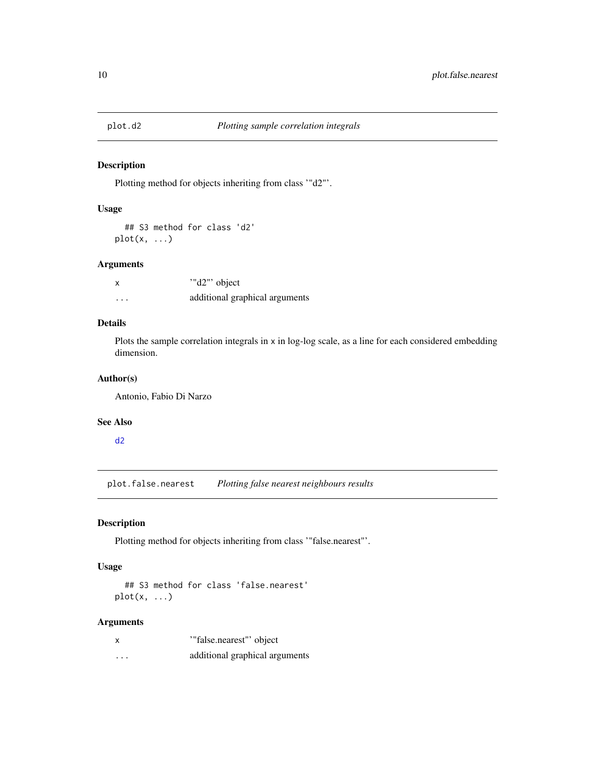<span id="page-9-1"></span><span id="page-9-0"></span>

# Description

Plotting method for objects inheriting from class '"d2"'.

# Usage

## S3 method for class 'd2'  $plot(x, \ldots)$ 

#### Arguments

|   | "d2" object                    |
|---|--------------------------------|
| . | additional graphical arguments |

# Details

Plots the sample correlation integrals in x in log-log scale, as a line for each considered embedding dimension.

# Author(s)

Antonio, Fabio Di Narzo

#### See Also

[d2](#page-2-1)

<span id="page-9-2"></span>plot.false.nearest *Plotting false nearest neighbours results*

# Description

Plotting method for objects inheriting from class '"false.nearest"'.

# Usage

## S3 method for class 'false.nearest'  $plot(x, \ldots)$ 

#### Arguments

| $\boldsymbol{\mathsf{x}}$ | "false.nearest" object         |
|---------------------------|--------------------------------|
| .                         | additional graphical arguments |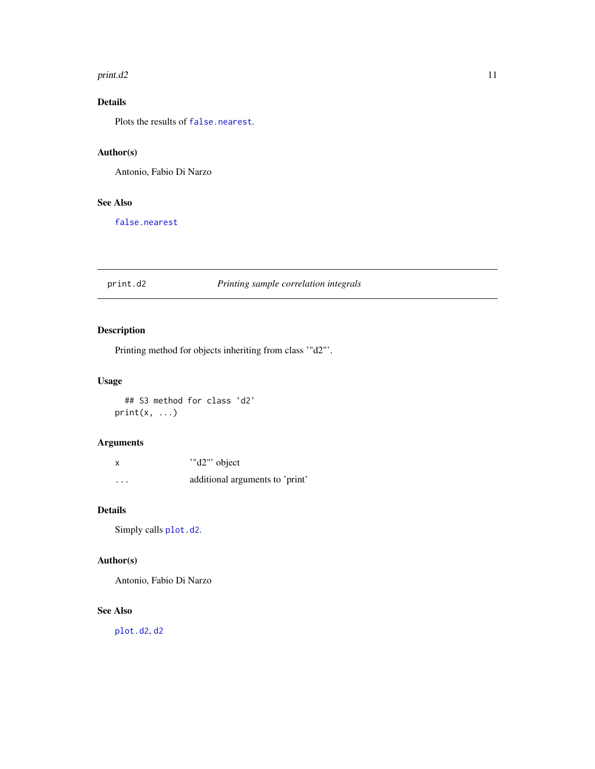#### <span id="page-10-0"></span> $print. d2$  11

# Details

Plots the results of [false.nearest](#page-4-1).

# Author(s)

Antonio, Fabio Di Narzo

# See Also

[false.nearest](#page-4-1)

# print.d2 *Printing sample correlation integrals*

# Description

Printing method for objects inheriting from class '"d2"'.

# Usage

## S3 method for class 'd2'  $print(x, \ldots)$ 

# Arguments

| X        | "d2" object                     |
|----------|---------------------------------|
| $\cdots$ | additional arguments to 'print' |

# Details

Simply calls [plot.d2](#page-9-1).

# Author(s)

Antonio, Fabio Di Narzo

#### See Also

[plot.d2](#page-9-1), [d2](#page-2-1)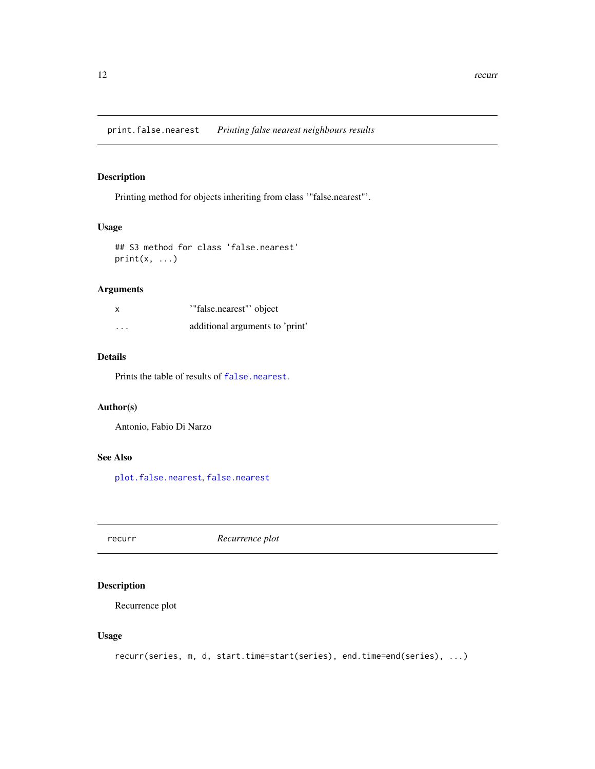# <span id="page-11-0"></span>Description

Printing method for objects inheriting from class '"false.nearest"'.

# Usage

```
## S3 method for class 'false.nearest'
print(x, \ldots)
```
# Arguments

| $\boldsymbol{\mathsf{x}}$ | "false.nearest" object          |
|---------------------------|---------------------------------|
| .                         | additional arguments to 'print' |

# Details

Prints the table of results of [false.nearest](#page-4-1).

# Author(s)

Antonio, Fabio Di Narzo

# See Also

[plot.false.nearest](#page-9-2), [false.nearest](#page-4-1)

recurr *Recurrence plot*

# Description

Recurrence plot

# Usage

```
recurr(series, m, d, start.time=start(series), end.time=end(series), ...)
```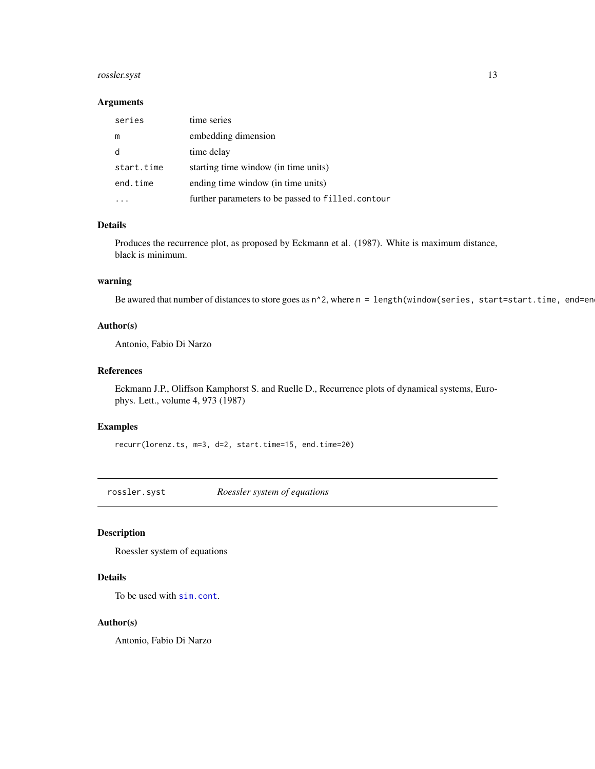# <span id="page-12-0"></span>rossler.syst 13

#### Arguments

| series     | time series                                       |
|------------|---------------------------------------------------|
| m          | embedding dimension                               |
|            | time delay                                        |
| start.time | starting time window (in time units)              |
| end.time   | ending time window (in time units)                |
|            | further parameters to be passed to filled.contour |

# Details

Produces the recurrence plot, as proposed by Eckmann et al. (1987). White is maximum distance, black is minimum.

#### warning

Be awared that number of distances to store goes as  $n^2$ , where  $n = length(window(series, start=start.time, end=en$ 

# Author(s)

Antonio, Fabio Di Narzo

#### References

Eckmann J.P., Oliffson Kamphorst S. and Ruelle D., Recurrence plots of dynamical systems, Europhys. Lett., volume 4, 973 (1987)

# Examples

recurr(lorenz.ts, m=3, d=2, start.time=15, end.time=20)

<span id="page-12-1"></span>rossler.syst *Roessler system of equations*

#### Description

Roessler system of equations

# Details

To be used with [sim.cont](#page-13-1).

#### Author(s)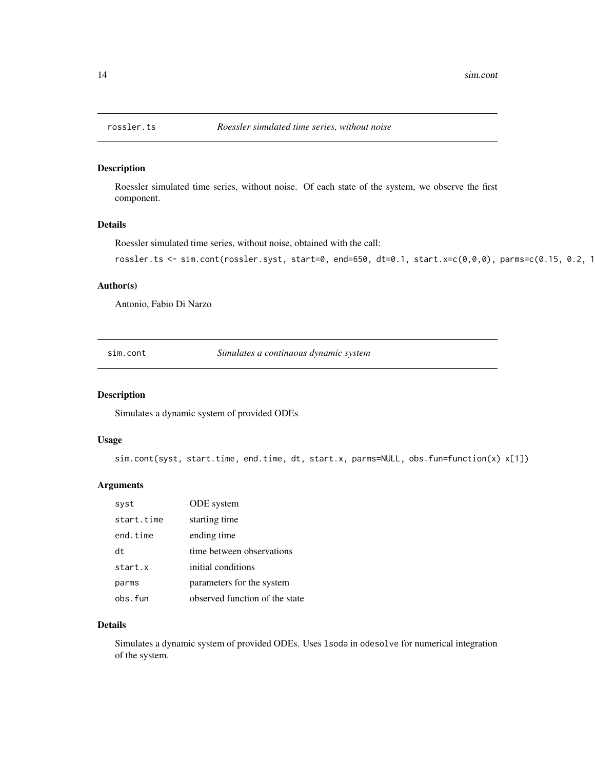<span id="page-13-0"></span>

#### Description

Roessler simulated time series, without noise. Of each state of the system, we observe the first component.

# Details

Roessler simulated time series, without noise, obtained with the call:

```
rossler.ts <- sim.cont(rossler.syst, start=0, end=650, dt=0.1, start.x=c(0,0,0), parms=c(0.15, 0.2, 1
```
#### Author(s)

Antonio, Fabio Di Narzo

<span id="page-13-1"></span>sim.cont *Simulates a continuous dynamic system*

# Description

Simulates a dynamic system of provided ODEs

#### Usage

sim.cont(syst, start.time, end.time, dt, start.x, parms=NULL, obs.fun=function(x) x[1])

# Arguments

| syst       | ODE system                     |
|------------|--------------------------------|
| start.time | starting time                  |
| end.time   | ending time                    |
| dt         | time between observations      |
| start.x    | initial conditions             |
| parms      | parameters for the system      |
| obs.fun    | observed function of the state |

# Details

Simulates a dynamic system of provided ODEs. Uses lsoda in odesolve for numerical integration of the system.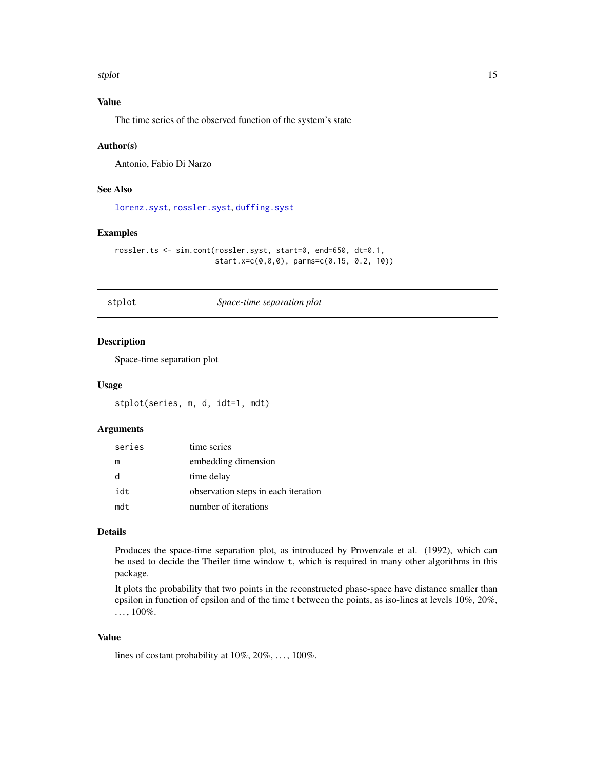<span id="page-14-0"></span>stplot that the state of the state of the state of the state of the state of the state of the state of the state of the state of the state of the state of the state of the state of the state of the state of the state of th

# Value

The time series of the observed function of the system's state

#### Author(s)

Antonio, Fabio Di Narzo

#### See Also

[lorenz.syst](#page-5-1), [rossler.syst](#page-12-1), [duffing.syst](#page-3-2)

#### Examples

```
rossler.ts <- sim.cont(rossler.syst, start=0, end=650, dt=0.1,
                       start.x=c(0,0,0), parms=c(0.15, 0.2, 10))
```
stplot *Space-time separation plot*

# Description

Space-time separation plot

#### Usage

stplot(series, m, d, idt=1, mdt)

# Arguments

| series | time series                         |
|--------|-------------------------------------|
| m      | embedding dimension                 |
| d      | time delay                          |
| idt    | observation steps in each iteration |
| mdt    | number of iterations                |

# Details

Produces the space-time separation plot, as introduced by Provenzale et al. (1992), which can be used to decide the Theiler time window t, which is required in many other algorithms in this package.

It plots the probability that two points in the reconstructed phase-space have distance smaller than epsilon in function of epsilon and of the time t between the points, as iso-lines at levels 10%, 20%,  $..., 100\%$ .

# Value

lines of costant probability at  $10\%, 20\%, \ldots, 100\%$ .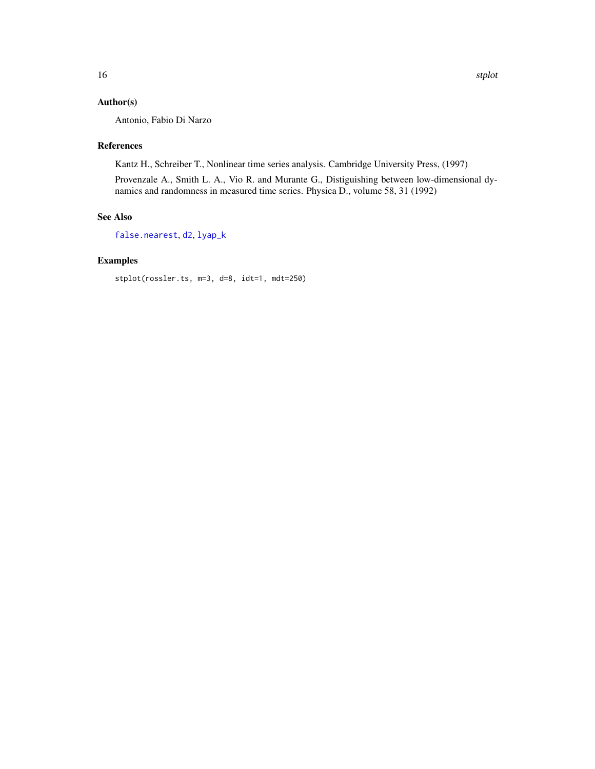<span id="page-15-0"></span>Antonio, Fabio Di Narzo

#### References

Kantz H., Schreiber T., Nonlinear time series analysis. Cambridge University Press, (1997)

Provenzale A., Smith L. A., Vio R. and Murante G., Distiguishing between low-dimensional dynamics and randomness in measured time series. Physica D., volume 58, 31 (1992)

# See Also

[false.nearest](#page-4-1), [d2](#page-2-1), [lyap\\_k](#page-6-1)

# Examples

stplot(rossler.ts, m=3, d=8, idt=1, mdt=250)